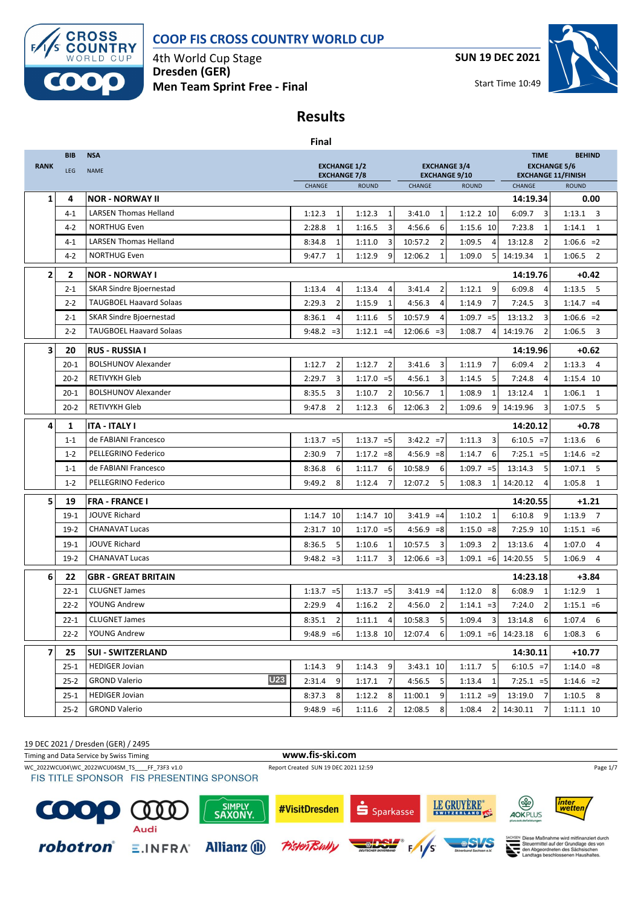

4th World Cup Stage **Dresden (GER) Men Team Sprint Free - Final** **SUN 19 DEC 2021**



Start Time 10:49

# **Results**

|                |                                                                         |                                    | <b>Final</b>             |              |                |                                             |                          |                                                  |                          |  |
|----------------|-------------------------------------------------------------------------|------------------------------------|--------------------------|--------------|----------------|---------------------------------------------|--------------------------|--------------------------------------------------|--------------------------|--|
|                | <b>BIB</b>                                                              | <b>NSA</b>                         |                          |              |                |                                             |                          | <b>TIME</b>                                      | <b>BEHIND</b>            |  |
| <b>RANK</b>    | <b>EXCHANGE 1/2</b><br><b>LEG</b><br><b>NAME</b><br><b>EXCHANGE 7/8</b> |                                    |                          |              |                | <b>EXCHANGE 3/4</b><br><b>EXCHANGE 9/10</b> |                          | <b>EXCHANGE 5/6</b><br><b>EXCHANGE 11/FINISH</b> |                          |  |
|                |                                                                         |                                    | CHANGE                   | <b>ROUND</b> |                | CHANGE                                      | <b>ROUND</b>             | CHANGE                                           | <b>ROUND</b>             |  |
| 1              | 4                                                                       | <b>NOR - NORWAY II</b>             |                          |              |                |                                             |                          | 14:19.34                                         | 0.00                     |  |
|                | $4 - 1$                                                                 | <b>LARSEN Thomas Helland</b>       | $\mathbf{1}$<br>1:12.3   | 1:12.3       | $\mathbf{1}$   | $\mathbf{1}$<br>3:41.0                      | 1:12.2 10                | $\overline{3}$<br>6:09.7                         | $1:13.1$ 3               |  |
|                | $4-2$                                                                   | <b>NORTHUG Even</b>                | $\mathbf{1}$<br>2:28.8   | 1:16.5       | 3              | 4:56.6<br>6                                 | 1:15.6 10                | 7:23.8<br>1                                      | 1:14.1<br>$\overline{1}$ |  |
|                | $4 - 1$                                                                 | <b>LARSEN Thomas Helland</b>       | 8:34.8<br>$\mathbf{1}$   | 1:11.0       | 3              | 10:57.2<br>$\overline{2}$                   | 1:09.5<br>$\overline{4}$ | 13:12.8<br>$\overline{2}$                        | $1:06.6 = 2$             |  |
|                | $4 - 2$                                                                 | <b>NORTHUG Even</b>                | 9:47.7<br>$\mathbf{1}$   | 1:12.9       | 9              | 12:06.2<br>$\mathbf{1}$                     | 1:09.0<br>5 <sub>l</sub> | 14:19.34<br>1                                    | $1:06.5$ 2               |  |
| $\overline{2}$ | $\mathbf{2}$                                                            | <b>NOR - NORWAY I</b>              |                          |              |                |                                             |                          | 14:19.76                                         | $+0.42$                  |  |
|                | $2 - 1$                                                                 | <b>SKAR Sindre Bjoernestad</b>     | 1:13.4<br>4              | 1:13.4       | 4              | $\overline{2}$<br>3:41.4                    | 1:12.1<br>9              | 6:09.8<br>$\overline{4}$                         | $1:13.5$ 5               |  |
|                | $2 - 2$                                                                 | <b>TAUGBOEL Haavard Solaas</b>     | 2:29.3<br>$\overline{2}$ | 1:15.9       | $\mathbf{1}$   | 4:56.3<br>$\overline{4}$                    | 1:14.9<br>$\overline{7}$ | 7:24.5<br>3                                      | $1:14.7 = 4$             |  |
|                | $2 - 1$                                                                 | <b>SKAR Sindre Bjoernestad</b>     | 8:36.1<br>$\overline{4}$ | 1:11.6       | 5              | 10:57.9<br>4                                | $1:09.7 = 5$             | 13:13.2<br>3                                     | $1:06.6 = 2$             |  |
|                | $2 - 2$                                                                 | <b>TAUGBOEL Haavard Solaas</b>     | $9:48.2 = 3$             | $1:12.1 = 4$ |                | $12:06.6 = 3$                               | 1:08.7<br>$\overline{4}$ | 14:19.76<br>$\overline{2}$                       | 1:06.5<br>3              |  |
| 3              | 20                                                                      | <b>RUS - RUSSIA I</b>              |                          |              |                |                                             |                          | 14:19.96                                         | $+0.62$                  |  |
|                | $20 - 1$                                                                | <b>BOLSHUNOV Alexander</b>         | $\overline{2}$<br>1:12.7 | 1:12.7       | $\overline{2}$ | 3<br>3:41.6                                 | $\overline{7}$<br>1:11.9 | 6:09.4<br>$\overline{2}$                         | $1:13.3$ 4               |  |
|                | $20 - 2$                                                                | <b>RETIVYKH Gleb</b>               | 2:29.7<br>3              | $1:17.0 = 5$ |                | 4:56.1<br>3                                 | 5<br>1:14.5              | 7:24.8<br>$\overline{4}$                         | 1:15.4 10                |  |
|                | $20 - 1$                                                                | <b>BOLSHUNOV Alexander</b>         | 8:35.5<br>3              | 1:10.7       | $\overline{2}$ | 10:56.7<br>1                                | 1:08.9<br>$\mathbf{1}$   | 13:12.4<br>1                                     | 1:06.1<br>1              |  |
|                | $20 - 2$                                                                | <b>RETIVYKH Gleb</b>               | 9:47.8<br>$\overline{2}$ | 1:12.3       | 6              | 12:06.3<br>2                                | 1:09.6<br>9 <sub>l</sub> | 14:19.96<br>3                                    | 1:07.5<br>5              |  |
| 4              | 1                                                                       | <b>ITA - ITALY I</b>               |                          |              |                |                                             |                          | 14:20.12                                         | $+0.78$                  |  |
|                | $1 - 1$                                                                 | de FABIANI Francesco               | $1:13.7 = 5$             | $1:13.7 = 5$ |                | $3:42.2 = 7$                                | 3<br>1:11.3              | $6:10.5 = 7$                                     | $1:13.6$ 6               |  |
|                | $1 - 2$                                                                 | PELLEGRINO Federico                | 2:30.9<br>$\overline{7}$ | $1:17.2 = 8$ |                | $4:56.9 = 8$                                | 1:14.7<br>6              | $7:25.1 = 5$                                     | $1:14.6 = 2$             |  |
|                | $1 - 1$                                                                 | de FABIANI Francesco               | 8:36.8<br>6              | 1:11.7       | 6              | 10:58.9<br>6                                | 1:09.7<br>$=5$           | 13:14.3<br>5                                     | $1:07.1$ 5               |  |
|                | $1 - 2$                                                                 | PELLEGRINO Federico                | 9:49.2<br>8              | 1:12.4       | $\overline{7}$ | 12:07.2<br>5                                | 1:08.3<br>$1\vert$       | 14:20.12<br>$\overline{4}$                       | 1:05.8<br>1              |  |
| 5              | 19                                                                      | <b>FRA - FRANCE I</b>              |                          |              |                |                                             |                          | 14:20.55                                         | $+1.21$                  |  |
|                | $19-1$                                                                  | <b>JOUVE Richard</b>               | 1:14.7 10                | 1:14.7 10    |                | $3:41.9 = 4$                                | 1:10.2<br>$\mathbf{1}$   | 6:10.8<br>- 9                                    | 1:13.9<br>$\overline{7}$ |  |
|                | $19-2$                                                                  | <b>CHANAVAT Lucas</b>              | 2:31.7 10                | $1:17.0 = 5$ |                | $4:56.9 = 8$                                | $1:15.0 = 8$             | 7:25.9 10                                        | $1:15.1 = 6$             |  |
|                | $19-1$                                                                  | <b>JOUVE Richard</b>               | 5<br>8:36.5              | 1:10.6       | 1              | 10:57.5<br>3                                | 1:09.3<br>$\overline{2}$ | 13:13.6<br>$\overline{4}$                        | 1:07.0<br>$\overline{4}$ |  |
|                | $19-2$                                                                  | <b>CHANAVAT Lucas</b>              | $9:48.2 = 3$             | 1:11.7       | $\overline{3}$ | $12:06.6 = 3$                               | $1:09.1 = 6$             | 14:20.55<br>5                                    | 1:06.9<br>$\overline{4}$ |  |
| 6              | 22                                                                      | <b>GBR - GREAT BRITAIN</b>         |                          |              |                |                                             |                          | 14:23.18                                         | $+3.84$                  |  |
|                | $22 - 1$                                                                | <b>CLUGNET James</b>               | $1:13.7 = 5$             | $1:13.7 = 5$ |                | $3:41.9 = 4$                                | 1:12.0<br>8              | 6:08.9<br>1                                      | $1:12.9$ 1               |  |
|                | $22 - 2$                                                                | YOUNG Andrew                       | 2:29.9<br>4              | 1:16.2       | $\overline{2}$ | 4:56.0<br>$\overline{2}$                    | $1:14.1 = 3$             | $\overline{2}$<br>7:24.0                         | $1:15.1 = 6$             |  |
|                | $22 - 1$                                                                | <b>CLUGNET James</b>               | 8:35.1<br>$\mathbf 2$    | $1:11.1$ 4   |                | 10:58.3 5                                   | $1:09.4$ 3               | 13:14.8 6                                        | $1:07.4$ 6               |  |
|                | $22 - 2$                                                                | YOUNG Andrew                       | $9:48.9 = 6$             | 1:13.8 10    |                | 12:07.4<br>6                                | $1:09.1 = 6$             | 14:23.18<br>6                                    | $1:08.3$ 6               |  |
| 7              | 25                                                                      | <b>SUI - SWITZERLAND</b>           |                          |              |                |                                             |                          | 14:30.11                                         | +10.77                   |  |
|                | $25 - 1$                                                                | <b>HEDIGER Jovian</b>              | 9<br>1:14.3              | 1:14.3       | 9              | 3:43.1 10                                   | 1:11.7<br>5              | $6:10.5 = 7$                                     | $1:14.0 = 8$             |  |
|                | $25 - 2$                                                                | <b>U23</b><br><b>GROND Valerio</b> | 2:31.4<br>9              | 1:17.1       | 7              | 4:56.5<br>5                                 | 1:13.4<br>$\mathbf{1}$   | $7:25.1 = 5$                                     | $1:14.6 = 2$             |  |
|                | $25 - 1$                                                                | <b>HEDIGER Jovian</b>              | 8:37.3<br>8              | 1:12.2       | 8              | 11:00.1<br>9                                | $1:11.2 = 9$             | 13:19.0 7                                        | $1:10.5$ 8               |  |
|                | $25-2$                                                                  | <b>GROND Valerio</b>               | $9:48.9 = 6$             | 1:11.6       | $\overline{2}$ | 12:08.5<br>8                                | 1:08.4<br>$\overline{2}$ | 14:30.11 7                                       | 1:11.1 10                |  |

WC\_2022WCU04\WC\_2022WCU04SM\_TS\_\_\_\_FF\_73F3 v1.0 Report Created SUN 19 DEC 2021 12:59 Page 1/7 Page 1/7 Page 1/7<br>FIS TITLE SPONSOR FIS PRESENTING SPONSOR Timing and Data Service by Swiss Timing **www.fis-ski.com**

19 DEC 2021 / Dresden (GER) / 2495



Diese Maßnahme wird mitfinanziert durch<br>Steuermittel auf der Grundlage des von<br>den Abgeordneten des Sächsischen<br>Landtags beschlossenen Haushaltes.

inter<br>wettei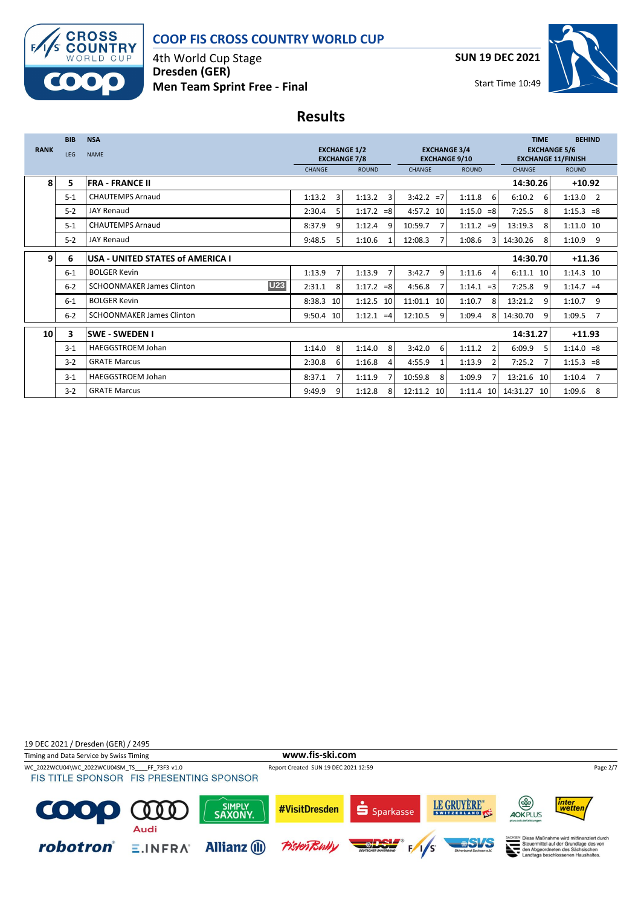

4th World Cup Stage **Dresden (GER) Men Team Sprint Free - Final** **SUN 19 DEC 2021**



## **Results**

|             | <b>BIB</b>                                                              | <b>NSA</b>                                     |                          |                          |                                             |                          | <b>TIME</b>                                      | <b>BEHIND</b>            |
|-------------|-------------------------------------------------------------------------|------------------------------------------------|--------------------------|--------------------------|---------------------------------------------|--------------------------|--------------------------------------------------|--------------------------|
| <b>RANK</b> | <b>EXCHANGE 1/2</b><br><b>LEG</b><br><b>NAME</b><br><b>EXCHANGE 7/8</b> |                                                |                          |                          | <b>EXCHANGE 3/4</b><br><b>EXCHANGE 9/10</b> |                          | <b>EXCHANGE 5/6</b><br><b>EXCHANGE 11/FINISH</b> |                          |
|             |                                                                         |                                                | <b>CHANGE</b>            | <b>ROUND</b>             | <b>CHANGE</b>                               | <b>ROUND</b>             | <b>CHANGE</b>                                    | <b>ROUND</b>             |
| 8           | 5                                                                       | <b>FRA - FRANCE II</b>                         |                          |                          |                                             |                          | 14:30.26                                         | $+10.92$                 |
|             | $5 - 1$                                                                 | <b>CHAUTEMPS Arnaud</b>                        | 1:13.2<br>3              | 1:13.2<br>3              | $3:42.2 = 7$                                | 1:11.8<br>6              | 6:10.2<br>6                                      | $1:13.0$ 2               |
|             | $5-2$                                                                   | <b>JAY Renaud</b>                              | 2:30.4<br>5              | $1:17.2 = 8$             | 4:57.2 10                                   | $1:15.0 = 8$             | 7:25.5<br>8                                      | $1:15.3 = 8$             |
|             | $5 - 1$                                                                 | <b>CHAUTEMPS Arnaud</b>                        | 8:37.9<br>9              | 1:12.4<br>q              | 10:59.7                                     | 1:11.2<br>$=9$           | 13:19.3<br>8                                     | 1:11.0 10                |
|             | $5-2$                                                                   | <b>JAY Renaud</b>                              | 9:48.5<br>5              | 1:10.6                   | 12:08.3                                     | 1:08.6<br>$\mathbf{R}$   | 14:30.26<br>8                                    | 1:10.9<br>9              |
| 9           | 6                                                                       | USA - UNITED STATES of AMERICA I               |                          |                          |                                             |                          | 14:30.70                                         | $+11.36$                 |
|             | $6 - 1$                                                                 | <b>BOLGER Kevin</b>                            | 1:13.9<br>$\overline{7}$ | 1:13.9<br>$\overline{7}$ | 9<br>3:42.7                                 | 1:11.6<br>4              | 6:11.1 10                                        | 1:14.3 10                |
|             | $6 - 2$                                                                 | <b>U23</b><br><b>SCHOONMAKER James Clinton</b> | 2:31.1<br>8              | $1:17.2 = 8$             | 4:56.8                                      | 1:14.1<br>$=$ 3          | 7:25.8<br>q                                      | $1:14.7 = 4$             |
|             | $6 - 1$                                                                 | <b>BOLGER Kevin</b>                            | 8:38.3<br>10             | 1:12.5 10                | 11:01.1 10                                  | 1:10.7<br>8              | 13:21.2<br>$\mathbf{q}$                          | 9<br>1:10.7              |
|             | $6 - 2$                                                                 | <b>SCHOONMAKER James Clinton</b>               | 9:50.4 10                | $1:12.1 = 4$             | 12:10.5<br>q                                | 1:09.4<br>8              | 14:30.70<br>9                                    | 1:09.5<br>$\overline{7}$ |
| 10          | 3                                                                       | <b>ISWE - SWEDEN I</b>                         |                          |                          |                                             |                          | 14:31.27                                         | $+11.93$                 |
|             | $3 - 1$                                                                 | HAEGGSTROEM Johan                              | 8<br>1:14.0              | 8<br>1:14.0              | 3:42.0<br>$6 \overline{6}$                  | $\overline{2}$<br>1:11.2 | 6:09.9<br>-5                                     | $1:14.0 = 8$             |
|             | $3 - 2$                                                                 | <b>GRATE Marcus</b>                            | 2:30.8<br>6              | 1:16.8<br>4              | 4:55.9                                      | 1:13.9<br>2              | 7:25.2                                           | $1:15.3 = 8$             |
|             | $3 - 1$                                                                 | <b>HAEGGSTROEM Johan</b>                       | 8:37.1                   | 1:11.9                   | 10:59.8<br>8                                | 1:09.9                   | 13:21.6 10                                       | 1:10.4<br>$\overline{7}$ |
|             | $3-2$                                                                   | <b>GRATE Marcus</b>                            | 9:49.9<br>9              | 1:12.8<br>8              | 12:11.2 10                                  | 1:11.4<br>10             | 14:31.27<br>10                                   | 8<br>1:09.6              |

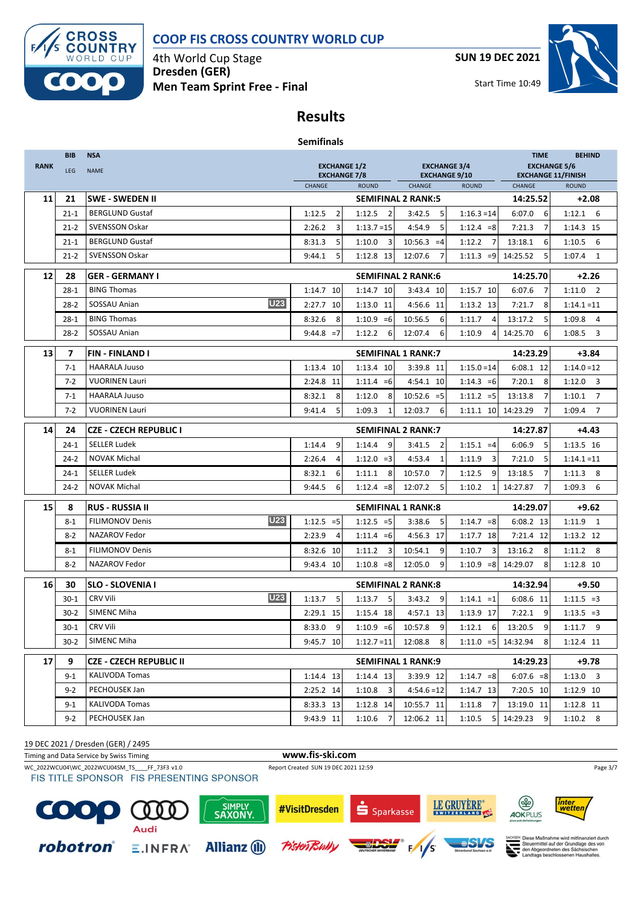

4th World Cup Stage **Dresden (GER) Men Team Sprint Free - Final** **SUN 19 DEC 2021**



Start Time 10:49

## **Results**

| <b>Semifinals</b> |  |
|-------------------|--|
|-------------------|--|

| <b>EXCHANGE 1/2</b><br><b>RANK</b><br>LEG<br><b>NAME</b><br><b>EXCHANGE 7/8</b><br>CHANGE<br><b>ROUND</b><br>CHANGE<br>11<br>21<br><b>SWE - SWEDEN II</b><br><b>SEMIFINAL 2 RANK:5</b> | <b>EXCHANGE 3/4</b><br><b>EXCHANGE 9/10</b><br><b>ROUND</b><br>5<br>$1:16.3 = 14$ | <b>EXCHANGE 5/6</b><br><b>EXCHANGE 11/FINISH</b><br>CHANGE<br>14:25.52 | <b>ROUND</b>                      |
|----------------------------------------------------------------------------------------------------------------------------------------------------------------------------------------|-----------------------------------------------------------------------------------|------------------------------------------------------------------------|-----------------------------------|
|                                                                                                                                                                                        |                                                                                   |                                                                        |                                   |
|                                                                                                                                                                                        |                                                                                   |                                                                        |                                   |
|                                                                                                                                                                                        |                                                                                   |                                                                        | $+2.08$                           |
| $\overline{2}$<br><b>BERGLUND Gustaf</b><br>1:12.5<br>1:12.5<br>$\overline{2}$<br>$21 - 1$<br>3:42.5                                                                                   |                                                                                   | 6<br>6:07.0                                                            | $1:12.1$ 6                        |
| <b>SVENSSON Oskar</b><br>3<br>$21 - 2$<br>2:26.2<br>$1:13.7=15$<br>4:54.9                                                                                                              | 5<br>$1:12.4 = 8$                                                                 | 7:21.3<br>7                                                            | 1:14.3 15                         |
| <b>BERGLUND Gustaf</b><br>8:31.3<br>5<br>1:10.0<br>3<br>$10:56.3 = 4$<br>$21 - 1$                                                                                                      | 1:12.2<br>$\overline{7}$                                                          | 13:18.1<br>6                                                           | $1:10.5$ 6                        |
| <b>SVENSSON Oskar</b><br>$21 - 2$<br>9:44.1<br>5<br>1:12.8 13<br>12:07.6                                                                                                               | 7<br>$1:11.3 = 9$                                                                 | 14:25.52<br>5                                                          | 1:07.4<br>1                       |
| 12<br>28<br><b>SEMIFINAL 2 RANK:6</b><br><b>GER - GERMANY I</b>                                                                                                                        |                                                                                   | 14:25.70                                                               | $+2.26$                           |
| <b>BING Thomas</b><br>1:14.7 10<br>1:14.7 10<br>$28-1$<br>3:43.4 10                                                                                                                    | 1:15.7 10                                                                         | 6:07.6<br>7                                                            | $1:11.0$ 2                        |
| <b>U23</b><br>SOSSAU Anian<br>$28-2$<br>2:27.7 10<br>1:13.0 11<br>4:56.6 11                                                                                                            | 1:13.2 13                                                                         | 7:21.7<br>8                                                            | $1:14.1 = 11$                     |
| <b>BING Thomas</b><br>$1:10.9 = 6$<br>10:56.5<br>$28-1$<br>8:32.6<br>8                                                                                                                 | 6<br>1:11.7<br>4                                                                  | 5<br>13:17.2                                                           | 1:09.8<br>4                       |
| SOSSAU Anian<br>1:12.2<br>12:07.4<br>$28-2$<br>9:44.8<br>$=7$<br>6                                                                                                                     | 6<br>1:10.9<br>4                                                                  | 14:25.70<br>6                                                          | 1:08.5<br>$\overline{\mathbf{3}}$ |
| 13<br>7<br><b>SEMIFINAL 1 RANK:7</b><br>FIN - FINLAND I                                                                                                                                |                                                                                   | 14:23.29                                                               | $+3.84$                           |
| <b>HAARALA Juuso</b><br>1:13.4 10<br>1:13.4 10<br>3:39.8 11<br>$7-1$                                                                                                                   | $1:15.0=14$                                                                       | 6:08.1 12                                                              | $1:14.0 = 12$                     |
| <b>VUORINEN Lauri</b><br>2:24.8 11<br>$7 - 2$<br>$1:11.4 = 6$<br>4:54.1 10                                                                                                             | $1:14.3 = 6$                                                                      | 8<br>7:20.1                                                            | $1:12.0$ 3                        |
| 8<br><b>HAARALA Juuso</b><br>8:32.1<br>1:12.0<br>8<br>$10:52.6 = 5$<br>$7-1$                                                                                                           | $1:11.2 = 5$                                                                      | 7<br>13:13.8                                                           | $1:10.1$ 7                        |
| <b>VUORINEN Lauri</b><br>$7 - 2$<br>5<br>1:09.3<br>12:03.7<br>9:41.4<br>1                                                                                                              | $1:11.1$ 10<br>6                                                                  | 14:23.29<br>$\overline{7}$                                             | 1:09.4 7                          |
| 14<br><b>CZE - CZECH REPUBLIC I</b><br><b>SEMIFINAL 2 RANK:7</b><br>24                                                                                                                 |                                                                                   | 14:27.87                                                               | $+4.43$                           |
| <b>SELLER Ludek</b><br>9<br>9<br>1:14.4<br>$24-1$<br>1:14.4<br>3:41.5                                                                                                                  | $\overline{2}$<br>$1:15.1 = 4$                                                    | 6:06.9<br>5                                                            | 1:13.5 16                         |
| <b>NOVAK Michal</b><br>4<br>$1:12.0 = 3$<br>4:53.4<br>$24-2$<br>2:26.4                                                                                                                 | $\mathbf 1$<br>3<br>1:11.9                                                        | 5<br>7:21.0                                                            | $1:14.1 = 11$                     |
| <b>SELLER Ludek</b><br>6<br>8<br>$24-1$<br>8:32.1<br>1:11.1<br>10:57.0                                                                                                                 | $\overline{7}$<br>1:12.5<br>9                                                     | 7<br>13:18.5                                                           | $1:11.3$ 8                        |
| <b>NOVAK Michal</b><br>$24 - 2$<br>$1:12.4 = 8$<br>12:07.2<br>9:44.5<br>6                                                                                                              | 5<br>1:10.2<br>1                                                                  | 14:27.87<br>7                                                          | 1:09.3<br>6                       |
| 15<br>8<br><b>RUS - RUSSIA II</b><br><b>SEMIFINAL 1 RANK:8</b>                                                                                                                         |                                                                                   | 14:29.07                                                               | $+9.62$                           |
| <b>U23</b><br><b>FILIMONOV Denis</b><br>$1:12.5 = 5$<br>$1:12.5 = 5$<br>3:38.6<br>$8 - 1$                                                                                              | 5<br>$1:14.7 = 8$                                                                 | 6:08.2 13                                                              | $1:11.9$ 1                        |
| NAZAROV Fedor<br>4:56.3 17<br>$8-2$<br>2:23.9<br>4<br>$1:11.4 = 6$                                                                                                                     | 1:17.7 18                                                                         | 7:21.4 12                                                              | 1:13.2 12                         |
| <b>FILIMONOV Denis</b><br>8:32.6 10<br>$8 - 1$<br>1:11.2<br>3<br>10:54.1                                                                                                               | 9<br>3<br>1:10.7                                                                  | 13:16.2<br>8                                                           | $1:11.2$ 8                        |
| NAZAROV Fedor<br>$8 - 2$<br>$1:10.8 = 8$<br>12:05.0<br>9:43.4 10                                                                                                                       | 9<br>$1:10.9 = 8$                                                                 | 14:29.07<br>8                                                          | 1:12.8 10                         |
| 16<br>30<br><b>SLO - SLOVENIA I</b><br><b>SEMIFINAL 2 RANK:8</b>                                                                                                                       |                                                                                   | 14:32.94                                                               | $+9.50$                           |
| <b>U23</b><br><b>CRV Vili</b><br>$30 - 1$<br>1:13.7<br>5<br>1:13.7<br>5<br>3:43.2                                                                                                      | 9<br>$1:14.1 = 1$                                                                 | 6:08.6 11                                                              | $1:11.5 = 3$                      |
| SIMENC Miha<br>2:29.1 15<br>1:15.4 18<br>4:57.1 13<br>$30-2$                                                                                                                           | 1:13.9 17                                                                         | 7:22.1<br>9                                                            | $1:13.5 = 3$                      |
| <b>CRV Vili</b><br>9<br>$1:10.9 = 6$<br>30-1<br>8:33.0<br>10:57.8                                                                                                                      | 9<br>6<br>1:12.1                                                                  | 9<br>13:20.5                                                           | $1:11.7$ 9                        |
| SIMENC Miha<br>30-2<br>9:45.7 10<br>$1:12.7 = 11$<br>12:08.8                                                                                                                           | 8<br>$1:11.0 = 5$                                                                 | 14:32.94<br>8                                                          | 1:12.4 11                         |
| 17<br><b>CZE - CZECH REPUBLIC II</b><br>9<br><b>SEMIFINAL 1 RANK:9</b>                                                                                                                 |                                                                                   | 14:29.23                                                               | $+9.78$                           |
| <b>KALIVODA Tomas</b><br>1:14.4 13<br>9-1<br>1:14.4 13<br>3:39.9 12                                                                                                                    | $1:14.7 = 8$                                                                      | $6:07.6 = 8$                                                           | $1:13.0$ 3                        |
| PECHOUSEK Jan<br>3<br>$9 - 2$<br>2:25.2 14<br>1:10.8<br>$4:54.6=12$                                                                                                                    | 1:14.7 13                                                                         | 7:20.5 10                                                              | 1:12.9 10                         |
| KALIVODA Tomas<br>8:33.3 13<br>1:12.8 14<br>10:55.7 11<br>9-1                                                                                                                          | 1:11.8<br>7                                                                       | 13:19.0 11                                                             | 1:12.8 11                         |
| PECHOUSEK Jan<br>9:43.9 11<br>$9-2$<br>1:10.6<br>12:06.2 11                                                                                                                            | 5<br>1:10.5                                                                       | 14:29.23<br>9                                                          | $1:10.2$ 8                        |

19 DEC 2021 / Dresden (GER) / 2495

Timing and Data Service by Swiss Timing **www.fis-ski.com** WC\_2022WCU04\WC\_2022WCU04SM\_TS\_\_\_\_FF\_73F3 v1.0 Report Created SUN 19 DEC 2021 12:59 Page 3/7 Page 3/7 Page 3/7<br>FIS TITLE SPONSOR FIS PRESENTING SPONSOR LE GRUYÈRE\* (ক্স inter<br>wetter SIMPLY<br>SAXONY #VisitDresden C  $\mathbf 0$ S Sparkasse 0 n AOKPLUS Audi SEN Diese Maßnahme wird mitfinanziert durch<br>Steuermittel auf der Grundlage des von<br>den Abgeordneten des Sächsischen<br>Landtags beschlossenen Haushaltes.

Pisteñ

**Allianz** (II)

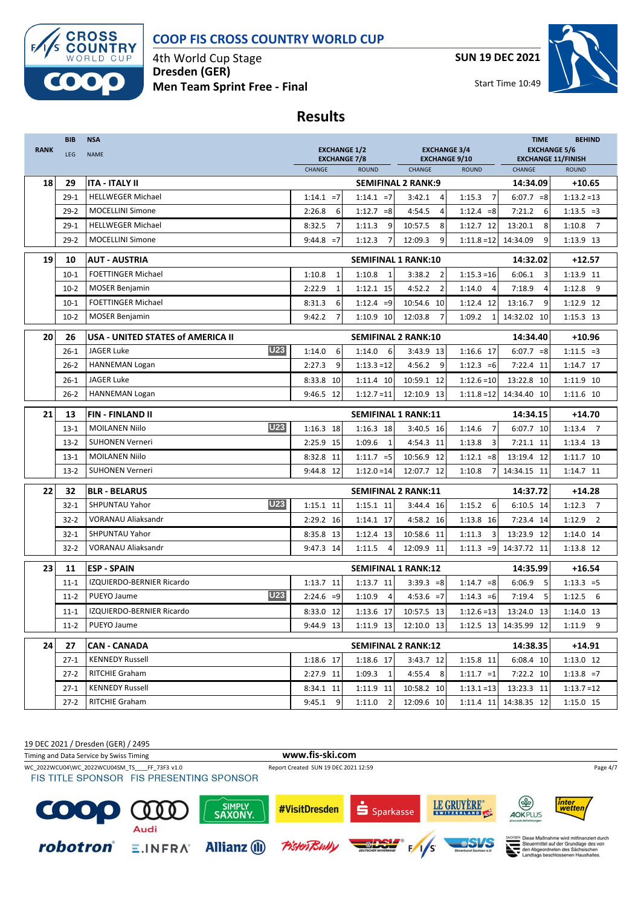

4th World Cup Stage **Dresden (GER) Men Team Sprint Free - Final** **SUN 19 DEC 2021**



Start Time 10:49

# **Results**

| <b>NAME</b><br><b>EXCHANGE 7/8</b><br><b>EXCHANGE 9/10</b><br><b>EXCHANGE 11/FINISH</b><br>CHANGE<br><b>ROUND</b><br>CHANGE<br><b>ROUND</b><br>CHANGE<br><b>ROUND</b><br>18<br>29<br><b>ITA - ITALY II</b><br><b>SEMIFINAL 2 RANK:9</b><br>14:34.09<br><b>HELLWEGER Michael</b><br>$1:14.1 = 7$<br>$1:14.1 = 7$<br>1:15.3<br>$\overline{7}$<br>$29-1$<br>3:42.1<br>$\overline{4}$<br>$6:07.7 = 8$<br><b>MOCELLINI Simone</b><br>$29 - 2$<br>2:26.8<br>6<br>$1:12.7 = 8$<br>4:54.5<br>$\overline{4}$<br>$1:12.4 = 8$<br>7:21.2<br>6<br><b>HELLWEGER Michael</b><br>8:32.5<br>7<br>1:11.3<br>9<br>10:57.5<br>8<br>1:12.7 12<br>13:20.1<br>8<br>1:10.8<br>$29-1$<br><b>MOCELLINI Simone</b><br>$9:44.8 = 7$<br>$\overline{7}$<br>9<br>$29-2$<br>1:12.3<br>12:09.3<br>9<br>$1:11.8=12$<br>14:34.09<br>19<br>10<br><b>AUT - AUSTRIA</b><br><b>SEMIFINAL 1 RANK:10</b><br>14:32.02<br><b>FOETTINGER Michael</b><br>1:10.8<br>$10 - 1$<br>1:10.8<br>$\mathbf{1}$<br>$\mathbf{1}$<br>3:38.2<br>$\overline{2}$<br>$1:15.3=16$<br>6:06.1<br>3<br>$\overline{2}$<br>1:12.8<br><b>MOSER Benjamin</b><br>1:12.1 15<br>4:52.2<br>1:14.0<br>7:18.9<br>$10-2$<br>2:22.9<br>$\mathbf{1}$<br>$\overline{4}$<br>$\overline{4}$<br><b>FOETTINGER Michael</b><br>6<br>13:16.7<br>8:31.3<br>$1:12.4 = 9$<br>10:54.6 10<br>1:12.4 12<br>9<br>$10 - 1$<br><b>MOSER Benjamin</b><br>$\overline{7}$<br>1:10.9 10<br>14:32.02 10<br>$10-2$<br>9:42.2<br>12:03.8<br>$\overline{7}$<br>1:09.2<br>$\mathbf{1}$<br>20<br>26<br>USA - UNITED STATES of AMERICA II<br><b>SEMIFINAL 2 RANK:10</b><br>14:34.40<br><b>U23</b><br><b>JAGER Luke</b><br>6<br>6<br>1:16.6 17<br>$26-1$<br>1:14.0<br>1:14.0<br>3:43.9 13<br>$6:07.7 = 8$<br>HANNEMAN Logan<br>9<br>$1:13.3 = 12$<br>4:56.2<br>9<br>$1:12.3 = 6$<br>$26 - 2$<br>2:27.3<br>7:22.4 11<br><b>JAGER Luke</b><br>8:33.8<br>10:59.1 12<br>$1:12.6=10$<br>13:22.8<br>$26 - 1$<br>10<br>1:11.4 10<br>10<br>HANNEMAN Logan<br>12:10.9 13<br>$26-2$<br>9:46.5 12<br>$1:12.7 = 11$<br>$1:11.8=12$<br>14:34.40<br>10<br>21<br>13<br><b>FIN-FINLAND II</b><br><b>SEMIFINAL 1 RANK:11</b><br>14:34.15<br><b>U23</b><br>$\overline{7}$<br><b>MOILANEN Niilo</b><br>$1:16.3$ 18<br>1:16.3 18<br>1:14.6<br>$13 - 1$<br>3:40.5 16<br>6:07.7 10<br><b>SUHONEN Verneri</b><br>2:25.9 15<br>1:09.6<br>3<br>$13-2$<br>$\mathbf{1}$<br>4:54.3 11<br>1:13.8<br>7:21.1 11<br><b>MOILANEN Niilo</b><br>10:56.9 12<br>13:19.4 12<br>$13 - 1$<br>8:32.8 11<br>$1:11.7 = 5$<br>$1:12.1 = 8$<br><b>SUHONEN Verneri</b><br>$13-2$<br>9:44.8 12<br>$1:12.0 = 14$<br>12:07.7 12<br>1:10.8<br>14:34.15 11<br>7<br>22<br>32<br><b>SEMIFINAL 2 RANK:11</b><br><b>BLR - BELARUS</b><br>14:37.72<br><b>U23</b><br>6<br>SHPUNTAU Yahor<br>1:15.1 11<br>1:15.2<br>$32 - 1$<br>1:15.1 11<br>3:44.4 16<br>6:10.5 14<br>VORANAU Aliaksandr<br>$32 - 2$<br>2:29.2 16<br>1:14.1 17<br>4:58.2 16<br>1:13.8 16<br>7:23.4 14<br>1:12.9<br>SHPUNTAU Yahor<br>10:58.6 11<br>1:11.3<br>3<br>13:23.9 12<br>$32 - 1$<br>8:35.8 13<br>1:12.4 13<br><b>VORANAU Aliaksandr</b><br>$32 - 2$<br>9:47.3 14<br>1:11.5<br>12:09.9 11<br>$1:11.3 = 9$<br>14:37.72 11<br>$\overline{4}$<br>23<br>11<br><b>ESP - SPAIN</b><br><b>SEMIFINAL 1 RANK:12</b><br>14:35.99<br>$1:14.7 = 8$<br>IZQUIERDO-BERNIER Ricardo<br>1:13.7 11<br>1:13.7 11<br>$3:39.3 = 8$<br>6:06.9<br>5<br>$11 - 1$ |        |                        |             |            |            |               |             | <b>EXCHANGE 5/6</b>      |
|-----------------------------------------------------------------------------------------------------------------------------------------------------------------------------------------------------------------------------------------------------------------------------------------------------------------------------------------------------------------------------------------------------------------------------------------------------------------------------------------------------------------------------------------------------------------------------------------------------------------------------------------------------------------------------------------------------------------------------------------------------------------------------------------------------------------------------------------------------------------------------------------------------------------------------------------------------------------------------------------------------------------------------------------------------------------------------------------------------------------------------------------------------------------------------------------------------------------------------------------------------------------------------------------------------------------------------------------------------------------------------------------------------------------------------------------------------------------------------------------------------------------------------------------------------------------------------------------------------------------------------------------------------------------------------------------------------------------------------------------------------------------------------------------------------------------------------------------------------------------------------------------------------------------------------------------------------------------------------------------------------------------------------------------------------------------------------------------------------------------------------------------------------------------------------------------------------------------------------------------------------------------------------------------------------------------------------------------------------------------------------------------------------------------------------------------------------------------------------------------------------------------------------------------------------------------------------------------------------------------------------------------------------------------------------------------------------------------------------------------------------------------------------------------------------------------------------------------------------------------------------------------------------------------------------------------------------------------------------------------------------------------------------------------------------------------------------------------------------------------------------------------------------------------------------------------------------------------------------------------------------------------------------------------------------------------------------------------------|--------|------------------------|-------------|------------|------------|---------------|-------------|--------------------------|
|                                                                                                                                                                                                                                                                                                                                                                                                                                                                                                                                                                                                                                                                                                                                                                                                                                                                                                                                                                                                                                                                                                                                                                                                                                                                                                                                                                                                                                                                                                                                                                                                                                                                                                                                                                                                                                                                                                                                                                                                                                                                                                                                                                                                                                                                                                                                                                                                                                                                                                                                                                                                                                                                                                                                                                                                                                                                                                                                                                                                                                                                                                                                                                                                                                                                                                                                               |        |                        |             |            |            |               |             |                          |
|                                                                                                                                                                                                                                                                                                                                                                                                                                                                                                                                                                                                                                                                                                                                                                                                                                                                                                                                                                                                                                                                                                                                                                                                                                                                                                                                                                                                                                                                                                                                                                                                                                                                                                                                                                                                                                                                                                                                                                                                                                                                                                                                                                                                                                                                                                                                                                                                                                                                                                                                                                                                                                                                                                                                                                                                                                                                                                                                                                                                                                                                                                                                                                                                                                                                                                                                               |        |                        |             |            |            |               |             | $+10.65$                 |
|                                                                                                                                                                                                                                                                                                                                                                                                                                                                                                                                                                                                                                                                                                                                                                                                                                                                                                                                                                                                                                                                                                                                                                                                                                                                                                                                                                                                                                                                                                                                                                                                                                                                                                                                                                                                                                                                                                                                                                                                                                                                                                                                                                                                                                                                                                                                                                                                                                                                                                                                                                                                                                                                                                                                                                                                                                                                                                                                                                                                                                                                                                                                                                                                                                                                                                                                               |        |                        |             |            |            |               |             | $1:13.2 = 13$            |
|                                                                                                                                                                                                                                                                                                                                                                                                                                                                                                                                                                                                                                                                                                                                                                                                                                                                                                                                                                                                                                                                                                                                                                                                                                                                                                                                                                                                                                                                                                                                                                                                                                                                                                                                                                                                                                                                                                                                                                                                                                                                                                                                                                                                                                                                                                                                                                                                                                                                                                                                                                                                                                                                                                                                                                                                                                                                                                                                                                                                                                                                                                                                                                                                                                                                                                                                               |        |                        |             |            |            |               |             | $1:13.5 = 3$             |
|                                                                                                                                                                                                                                                                                                                                                                                                                                                                                                                                                                                                                                                                                                                                                                                                                                                                                                                                                                                                                                                                                                                                                                                                                                                                                                                                                                                                                                                                                                                                                                                                                                                                                                                                                                                                                                                                                                                                                                                                                                                                                                                                                                                                                                                                                                                                                                                                                                                                                                                                                                                                                                                                                                                                                                                                                                                                                                                                                                                                                                                                                                                                                                                                                                                                                                                                               |        |                        |             |            |            |               |             | $\overline{7}$           |
|                                                                                                                                                                                                                                                                                                                                                                                                                                                                                                                                                                                                                                                                                                                                                                                                                                                                                                                                                                                                                                                                                                                                                                                                                                                                                                                                                                                                                                                                                                                                                                                                                                                                                                                                                                                                                                                                                                                                                                                                                                                                                                                                                                                                                                                                                                                                                                                                                                                                                                                                                                                                                                                                                                                                                                                                                                                                                                                                                                                                                                                                                                                                                                                                                                                                                                                                               |        |                        |             |            |            |               |             | 1:13.9 13                |
|                                                                                                                                                                                                                                                                                                                                                                                                                                                                                                                                                                                                                                                                                                                                                                                                                                                                                                                                                                                                                                                                                                                                                                                                                                                                                                                                                                                                                                                                                                                                                                                                                                                                                                                                                                                                                                                                                                                                                                                                                                                                                                                                                                                                                                                                                                                                                                                                                                                                                                                                                                                                                                                                                                                                                                                                                                                                                                                                                                                                                                                                                                                                                                                                                                                                                                                                               |        |                        |             |            |            |               |             | $+12.57$                 |
|                                                                                                                                                                                                                                                                                                                                                                                                                                                                                                                                                                                                                                                                                                                                                                                                                                                                                                                                                                                                                                                                                                                                                                                                                                                                                                                                                                                                                                                                                                                                                                                                                                                                                                                                                                                                                                                                                                                                                                                                                                                                                                                                                                                                                                                                                                                                                                                                                                                                                                                                                                                                                                                                                                                                                                                                                                                                                                                                                                                                                                                                                                                                                                                                                                                                                                                                               |        |                        |             |            |            |               |             | $1:13.9$ 11              |
|                                                                                                                                                                                                                                                                                                                                                                                                                                                                                                                                                                                                                                                                                                                                                                                                                                                                                                                                                                                                                                                                                                                                                                                                                                                                                                                                                                                                                                                                                                                                                                                                                                                                                                                                                                                                                                                                                                                                                                                                                                                                                                                                                                                                                                                                                                                                                                                                                                                                                                                                                                                                                                                                                                                                                                                                                                                                                                                                                                                                                                                                                                                                                                                                                                                                                                                                               |        |                        |             |            |            |               |             | - 9                      |
|                                                                                                                                                                                                                                                                                                                                                                                                                                                                                                                                                                                                                                                                                                                                                                                                                                                                                                                                                                                                                                                                                                                                                                                                                                                                                                                                                                                                                                                                                                                                                                                                                                                                                                                                                                                                                                                                                                                                                                                                                                                                                                                                                                                                                                                                                                                                                                                                                                                                                                                                                                                                                                                                                                                                                                                                                                                                                                                                                                                                                                                                                                                                                                                                                                                                                                                                               |        |                        |             |            |            |               |             | 1:12.9 12                |
|                                                                                                                                                                                                                                                                                                                                                                                                                                                                                                                                                                                                                                                                                                                                                                                                                                                                                                                                                                                                                                                                                                                                                                                                                                                                                                                                                                                                                                                                                                                                                                                                                                                                                                                                                                                                                                                                                                                                                                                                                                                                                                                                                                                                                                                                                                                                                                                                                                                                                                                                                                                                                                                                                                                                                                                                                                                                                                                                                                                                                                                                                                                                                                                                                                                                                                                                               |        |                        |             |            |            |               |             | 1:15.3 13                |
|                                                                                                                                                                                                                                                                                                                                                                                                                                                                                                                                                                                                                                                                                                                                                                                                                                                                                                                                                                                                                                                                                                                                                                                                                                                                                                                                                                                                                                                                                                                                                                                                                                                                                                                                                                                                                                                                                                                                                                                                                                                                                                                                                                                                                                                                                                                                                                                                                                                                                                                                                                                                                                                                                                                                                                                                                                                                                                                                                                                                                                                                                                                                                                                                                                                                                                                                               |        |                        |             |            |            |               |             | +10.96                   |
|                                                                                                                                                                                                                                                                                                                                                                                                                                                                                                                                                                                                                                                                                                                                                                                                                                                                                                                                                                                                                                                                                                                                                                                                                                                                                                                                                                                                                                                                                                                                                                                                                                                                                                                                                                                                                                                                                                                                                                                                                                                                                                                                                                                                                                                                                                                                                                                                                                                                                                                                                                                                                                                                                                                                                                                                                                                                                                                                                                                                                                                                                                                                                                                                                                                                                                                                               |        |                        |             |            |            |               |             | $1:11.5 = 3$             |
|                                                                                                                                                                                                                                                                                                                                                                                                                                                                                                                                                                                                                                                                                                                                                                                                                                                                                                                                                                                                                                                                                                                                                                                                                                                                                                                                                                                                                                                                                                                                                                                                                                                                                                                                                                                                                                                                                                                                                                                                                                                                                                                                                                                                                                                                                                                                                                                                                                                                                                                                                                                                                                                                                                                                                                                                                                                                                                                                                                                                                                                                                                                                                                                                                                                                                                                                               |        |                        |             |            |            |               |             | 1:14.7 17                |
|                                                                                                                                                                                                                                                                                                                                                                                                                                                                                                                                                                                                                                                                                                                                                                                                                                                                                                                                                                                                                                                                                                                                                                                                                                                                                                                                                                                                                                                                                                                                                                                                                                                                                                                                                                                                                                                                                                                                                                                                                                                                                                                                                                                                                                                                                                                                                                                                                                                                                                                                                                                                                                                                                                                                                                                                                                                                                                                                                                                                                                                                                                                                                                                                                                                                                                                                               |        |                        |             |            |            |               |             | 1:11.9 10                |
|                                                                                                                                                                                                                                                                                                                                                                                                                                                                                                                                                                                                                                                                                                                                                                                                                                                                                                                                                                                                                                                                                                                                                                                                                                                                                                                                                                                                                                                                                                                                                                                                                                                                                                                                                                                                                                                                                                                                                                                                                                                                                                                                                                                                                                                                                                                                                                                                                                                                                                                                                                                                                                                                                                                                                                                                                                                                                                                                                                                                                                                                                                                                                                                                                                                                                                                                               |        |                        |             |            |            |               |             | 1:11.6 10                |
|                                                                                                                                                                                                                                                                                                                                                                                                                                                                                                                                                                                                                                                                                                                                                                                                                                                                                                                                                                                                                                                                                                                                                                                                                                                                                                                                                                                                                                                                                                                                                                                                                                                                                                                                                                                                                                                                                                                                                                                                                                                                                                                                                                                                                                                                                                                                                                                                                                                                                                                                                                                                                                                                                                                                                                                                                                                                                                                                                                                                                                                                                                                                                                                                                                                                                                                                               |        |                        |             |            |            |               |             | $+14.70$                 |
|                                                                                                                                                                                                                                                                                                                                                                                                                                                                                                                                                                                                                                                                                                                                                                                                                                                                                                                                                                                                                                                                                                                                                                                                                                                                                                                                                                                                                                                                                                                                                                                                                                                                                                                                                                                                                                                                                                                                                                                                                                                                                                                                                                                                                                                                                                                                                                                                                                                                                                                                                                                                                                                                                                                                                                                                                                                                                                                                                                                                                                                                                                                                                                                                                                                                                                                                               |        |                        |             |            |            |               |             | $1:13.4$ 7               |
|                                                                                                                                                                                                                                                                                                                                                                                                                                                                                                                                                                                                                                                                                                                                                                                                                                                                                                                                                                                                                                                                                                                                                                                                                                                                                                                                                                                                                                                                                                                                                                                                                                                                                                                                                                                                                                                                                                                                                                                                                                                                                                                                                                                                                                                                                                                                                                                                                                                                                                                                                                                                                                                                                                                                                                                                                                                                                                                                                                                                                                                                                                                                                                                                                                                                                                                                               |        |                        |             |            |            |               |             | 1:13.4 13                |
|                                                                                                                                                                                                                                                                                                                                                                                                                                                                                                                                                                                                                                                                                                                                                                                                                                                                                                                                                                                                                                                                                                                                                                                                                                                                                                                                                                                                                                                                                                                                                                                                                                                                                                                                                                                                                                                                                                                                                                                                                                                                                                                                                                                                                                                                                                                                                                                                                                                                                                                                                                                                                                                                                                                                                                                                                                                                                                                                                                                                                                                                                                                                                                                                                                                                                                                                               |        |                        |             |            |            |               |             | 1:11.7 10                |
|                                                                                                                                                                                                                                                                                                                                                                                                                                                                                                                                                                                                                                                                                                                                                                                                                                                                                                                                                                                                                                                                                                                                                                                                                                                                                                                                                                                                                                                                                                                                                                                                                                                                                                                                                                                                                                                                                                                                                                                                                                                                                                                                                                                                                                                                                                                                                                                                                                                                                                                                                                                                                                                                                                                                                                                                                                                                                                                                                                                                                                                                                                                                                                                                                                                                                                                                               |        |                        |             |            |            |               |             | 1:14.7 11                |
|                                                                                                                                                                                                                                                                                                                                                                                                                                                                                                                                                                                                                                                                                                                                                                                                                                                                                                                                                                                                                                                                                                                                                                                                                                                                                                                                                                                                                                                                                                                                                                                                                                                                                                                                                                                                                                                                                                                                                                                                                                                                                                                                                                                                                                                                                                                                                                                                                                                                                                                                                                                                                                                                                                                                                                                                                                                                                                                                                                                                                                                                                                                                                                                                                                                                                                                                               |        |                        |             |            |            |               |             | $+14.28$                 |
|                                                                                                                                                                                                                                                                                                                                                                                                                                                                                                                                                                                                                                                                                                                                                                                                                                                                                                                                                                                                                                                                                                                                                                                                                                                                                                                                                                                                                                                                                                                                                                                                                                                                                                                                                                                                                                                                                                                                                                                                                                                                                                                                                                                                                                                                                                                                                                                                                                                                                                                                                                                                                                                                                                                                                                                                                                                                                                                                                                                                                                                                                                                                                                                                                                                                                                                                               |        |                        |             |            |            |               |             | $1:12.3$ 7               |
|                                                                                                                                                                                                                                                                                                                                                                                                                                                                                                                                                                                                                                                                                                                                                                                                                                                                                                                                                                                                                                                                                                                                                                                                                                                                                                                                                                                                                                                                                                                                                                                                                                                                                                                                                                                                                                                                                                                                                                                                                                                                                                                                                                                                                                                                                                                                                                                                                                                                                                                                                                                                                                                                                                                                                                                                                                                                                                                                                                                                                                                                                                                                                                                                                                                                                                                                               |        |                        |             |            |            |               |             | $\overline{\phantom{0}}$ |
|                                                                                                                                                                                                                                                                                                                                                                                                                                                                                                                                                                                                                                                                                                                                                                                                                                                                                                                                                                                                                                                                                                                                                                                                                                                                                                                                                                                                                                                                                                                                                                                                                                                                                                                                                                                                                                                                                                                                                                                                                                                                                                                                                                                                                                                                                                                                                                                                                                                                                                                                                                                                                                                                                                                                                                                                                                                                                                                                                                                                                                                                                                                                                                                                                                                                                                                                               |        |                        |             |            |            |               |             | 1:14.0 14                |
|                                                                                                                                                                                                                                                                                                                                                                                                                                                                                                                                                                                                                                                                                                                                                                                                                                                                                                                                                                                                                                                                                                                                                                                                                                                                                                                                                                                                                                                                                                                                                                                                                                                                                                                                                                                                                                                                                                                                                                                                                                                                                                                                                                                                                                                                                                                                                                                                                                                                                                                                                                                                                                                                                                                                                                                                                                                                                                                                                                                                                                                                                                                                                                                                                                                                                                                                               |        |                        |             |            |            |               |             | 1:13.8 12                |
|                                                                                                                                                                                                                                                                                                                                                                                                                                                                                                                                                                                                                                                                                                                                                                                                                                                                                                                                                                                                                                                                                                                                                                                                                                                                                                                                                                                                                                                                                                                                                                                                                                                                                                                                                                                                                                                                                                                                                                                                                                                                                                                                                                                                                                                                                                                                                                                                                                                                                                                                                                                                                                                                                                                                                                                                                                                                                                                                                                                                                                                                                                                                                                                                                                                                                                                                               |        |                        |             |            |            |               |             | $+16.54$                 |
|                                                                                                                                                                                                                                                                                                                                                                                                                                                                                                                                                                                                                                                                                                                                                                                                                                                                                                                                                                                                                                                                                                                                                                                                                                                                                                                                                                                                                                                                                                                                                                                                                                                                                                                                                                                                                                                                                                                                                                                                                                                                                                                                                                                                                                                                                                                                                                                                                                                                                                                                                                                                                                                                                                                                                                                                                                                                                                                                                                                                                                                                                                                                                                                                                                                                                                                                               |        |                        |             |            |            |               |             | $1:13.3 = 5$             |
| <b>U23</b><br>PUEYO Jaume<br>$2:24.6 = 9$<br>1:10.9<br>$\overline{4}$<br>$4:53.6 = 7$<br>7:19.4<br>5<br>$11-2$<br>$1:14.3 = 6$                                                                                                                                                                                                                                                                                                                                                                                                                                                                                                                                                                                                                                                                                                                                                                                                                                                                                                                                                                                                                                                                                                                                                                                                                                                                                                                                                                                                                                                                                                                                                                                                                                                                                                                                                                                                                                                                                                                                                                                                                                                                                                                                                                                                                                                                                                                                                                                                                                                                                                                                                                                                                                                                                                                                                                                                                                                                                                                                                                                                                                                                                                                                                                                                                |        |                        |             |            |            |               |             | $1:12.5$ 6               |
| IZQUIERDO-BERNIER Ricardo<br>$1:12.6 = 13$<br>8:33.0 12<br>1:13.6 17<br>10:57.5 13<br>13:24.0 13<br>$11 - 1$                                                                                                                                                                                                                                                                                                                                                                                                                                                                                                                                                                                                                                                                                                                                                                                                                                                                                                                                                                                                                                                                                                                                                                                                                                                                                                                                                                                                                                                                                                                                                                                                                                                                                                                                                                                                                                                                                                                                                                                                                                                                                                                                                                                                                                                                                                                                                                                                                                                                                                                                                                                                                                                                                                                                                                                                                                                                                                                                                                                                                                                                                                                                                                                                                                  |        |                        |             |            |            |               |             | 1:14.0 13                |
| PUEYO Jaume<br>1:12.5 13 14:35.99 12<br>$11-2$<br>9:44.9 13<br>1:11.9 13<br>12:10.0 13                                                                                                                                                                                                                                                                                                                                                                                                                                                                                                                                                                                                                                                                                                                                                                                                                                                                                                                                                                                                                                                                                                                                                                                                                                                                                                                                                                                                                                                                                                                                                                                                                                                                                                                                                                                                                                                                                                                                                                                                                                                                                                                                                                                                                                                                                                                                                                                                                                                                                                                                                                                                                                                                                                                                                                                                                                                                                                                                                                                                                                                                                                                                                                                                                                                        |        |                        |             |            |            |               |             | $1:11.9$ 9               |
| 24<br>27<br><b>SEMIFINAL 2 RANK:12</b><br>14:38.35<br><b>CAN - CANADA</b>                                                                                                                                                                                                                                                                                                                                                                                                                                                                                                                                                                                                                                                                                                                                                                                                                                                                                                                                                                                                                                                                                                                                                                                                                                                                                                                                                                                                                                                                                                                                                                                                                                                                                                                                                                                                                                                                                                                                                                                                                                                                                                                                                                                                                                                                                                                                                                                                                                                                                                                                                                                                                                                                                                                                                                                                                                                                                                                                                                                                                                                                                                                                                                                                                                                                     |        |                        |             |            |            |               |             | $+14.91$                 |
| <b>KENNEDY Russell</b><br>1:18.6 17<br>$27-1$<br>1:18.6 17<br>3:43.7 12<br>1:15.8 11<br>6:08.4 10                                                                                                                                                                                                                                                                                                                                                                                                                                                                                                                                                                                                                                                                                                                                                                                                                                                                                                                                                                                                                                                                                                                                                                                                                                                                                                                                                                                                                                                                                                                                                                                                                                                                                                                                                                                                                                                                                                                                                                                                                                                                                                                                                                                                                                                                                                                                                                                                                                                                                                                                                                                                                                                                                                                                                                                                                                                                                                                                                                                                                                                                                                                                                                                                                                             |        |                        |             |            |            |               |             | 1:13.0 12                |
| RITCHIE Graham<br>$1:09.3$ 1<br>4:55.4 8<br>$27-2$<br>2:27.9 11<br>$1:11.7 = 1$<br>7:22.2 10                                                                                                                                                                                                                                                                                                                                                                                                                                                                                                                                                                                                                                                                                                                                                                                                                                                                                                                                                                                                                                                                                                                                                                                                                                                                                                                                                                                                                                                                                                                                                                                                                                                                                                                                                                                                                                                                                                                                                                                                                                                                                                                                                                                                                                                                                                                                                                                                                                                                                                                                                                                                                                                                                                                                                                                                                                                                                                                                                                                                                                                                                                                                                                                                                                                  |        |                        |             |            |            |               |             | $1:13.8 = 7$             |
|                                                                                                                                                                                                                                                                                                                                                                                                                                                                                                                                                                                                                                                                                                                                                                                                                                                                                                                                                                                                                                                                                                                                                                                                                                                                                                                                                                                                                                                                                                                                                                                                                                                                                                                                                                                                                                                                                                                                                                                                                                                                                                                                                                                                                                                                                                                                                                                                                                                                                                                                                                                                                                                                                                                                                                                                                                                                                                                                                                                                                                                                                                                                                                                                                                                                                                                                               | $27-1$ | <b>KENNEDY Russell</b> | 8:34.1 11   | 1:11.9 11  | 10:58.2 10 | $1:13.1 = 13$ | 13:23.3 11  | $1:13.7=12$              |
|                                                                                                                                                                                                                                                                                                                                                                                                                                                                                                                                                                                                                                                                                                                                                                                                                                                                                                                                                                                                                                                                                                                                                                                                                                                                                                                                                                                                                                                                                                                                                                                                                                                                                                                                                                                                                                                                                                                                                                                                                                                                                                                                                                                                                                                                                                                                                                                                                                                                                                                                                                                                                                                                                                                                                                                                                                                                                                                                                                                                                                                                                                                                                                                                                                                                                                                                               | $27-2$ | RITCHIE Graham         | 9:45.1<br>9 | $1:11.0$ 2 | 12:09.6 10 | 1:11.4 11     | 14:38.35 12 | 1:15.0 15                |

19 DEC 2021 / Dresden (GER) / 2495 Timing and Data Service by Swiss Timing **www.fis-ski.com** WC\_2022WCU04\WC\_2022WCU04SM\_TS\_\_\_\_FF\_73F3 v1.0 Report Created SUN 19 DEC 2021 12:59 Page 4/7 Page 4/7 Page 4/7<br>FIS TITLE SPONSOR FIS PRESENTING SPONSOR LE GRUYÈRE\* த inter<br>wetter SIMPLY<br>SAXONY #VisitDresden C Sparkasse  $0<sub>0</sub>$  $\bf{0}$ AOKPLUS Audi SEN Diese Maßnahme wird mitfinanziert durch<br>Steuermittel auf der Grundlage des von<br>den Abgeordneten des Sächsischen<br>Landtags beschlossenen Haushaltes. robotron® **Allianz** (II) **Pistent**  $E.INFRA$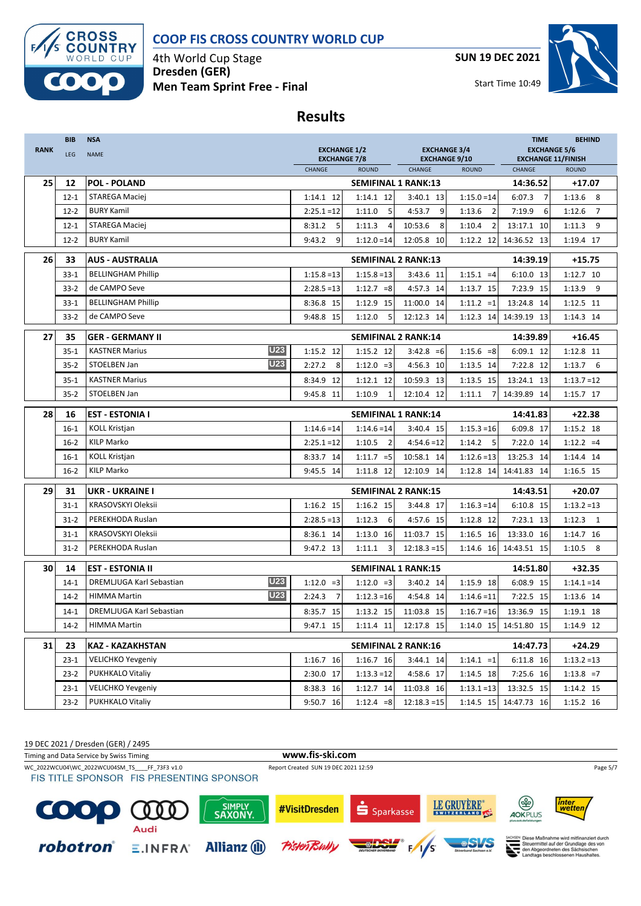

4th World Cup Stage **Dresden (GER) Men Team Sprint Free - Final** **SUN 19 DEC 2021**



**Results**

| <b>RANK</b> | <b>BIB</b><br>LEG | <b>NSA</b><br><b>NAME</b>              | <b>EXCHANGE 1/2</b>           |                            | <b>EXCHANGE 3/4</b>            |                          | <b>TIME</b><br><b>EXCHANGE 5/6</b>        | <b>BEHIND</b> |
|-------------|-------------------|----------------------------------------|-------------------------------|----------------------------|--------------------------------|--------------------------|-------------------------------------------|---------------|
|             |                   |                                        | <b>EXCHANGE 7/8</b><br>CHANGE | <b>ROUND</b>               | <b>EXCHANGE 9/10</b><br>CHANGE | <b>ROUND</b>             | <b>EXCHANGE 11/FINISH</b><br><b>ROUND</b> |               |
| 25          | 12                | <b>POL - POLAND</b>                    |                               | <b>SEMIFINAL 1 RANK:13</b> |                                |                          | 14:36.52                                  | +17.07        |
|             | $12 - 1$          | STAREGA Maciej                         | $1:14.1$ 12                   | 1:14.1 12                  | 3:40.1 13                      | $1:15.0 = 14$            | 6:07.3<br>$\overline{7}$                  | $1:13.6$ 8    |
|             | $12 - 2$          | <b>BURY Kamil</b>                      | $2:25.1 = 12$                 | 5<br>1:11.0                | 4:53.7<br>9                    | 1:13.6<br>$\overline{2}$ | 7:19.9<br>6                               | 1:12.6<br>7   |
|             | $12 - 1$          | <b>STAREGA Maciej</b>                  | 8:31.2<br>5                   | 1:11.3<br>$\overline{4}$   | 10:53.6<br>8                   | 1:10.4<br>$\overline{2}$ | 13:17.1 10                                | 1:11.3<br>9   |
|             | $12 - 2$          | <b>BURY Kamil</b>                      | 9:43.2<br>9                   | $1:12.0 = 14$              | 12:05.8 10                     | 1:12.2 12                | 14:36.52 13                               | 1:19.4 17     |
| 26          | 33                | <b>AUS - AUSTRALIA</b>                 |                               | <b>SEMIFINAL 2 RANK:13</b> |                                |                          | 14:39.19                                  | $+15.75$      |
|             | $33 - 1$          | <b>BELLINGHAM Phillip</b>              | $1:15.8 = 13$                 | $1:15.8 = 13$              | 3:43.6 11                      | $1:15.1 = 4$             | 6:10.0 13                                 | 1:12.7 10     |
|             | $33-2$            | de CAMPO Seve                          | $2:28.5=13$                   | $1:12.7 = 8$               | 4:57.3 14                      | 1:13.7 15                | 7:23.9 15                                 | $1:13.9$ 9    |
|             | $33 - 1$          | <b>BELLINGHAM Phillip</b>              | 8:36.8 15                     | 1:12.9 15                  | 11:00.0 14                     | $1:11.2 = 1$             | 13:24.8 14                                | 1:12.5 11     |
|             | $33-2$            | de CAMPO Seve                          | 9:48.8 15                     | 1:12.0<br>5                | 12:12.3 14                     | 1:12.3 14                | 14:39.19 13                               | 1:14.3 14     |
| 27          | 35                | <b>GER - GERMANY II</b>                |                               | <b>SEMIFINAL 2 RANK:14</b> |                                |                          | 14:39.89                                  | $+16.45$      |
|             | $35 - 1$          | <b>U23</b><br><b>KASTNER Marius</b>    | 1:15.2 12                     | 1:15.2 12                  | $3:42.8 = 6$                   | $1:15.6 = 8$             | 6:09.1 12                                 | 1:12.8 11     |
|             | $35 - 2$          | U23<br>STOELBEN Jan                    | 2:27.2<br>8                   | $1:12.0 = 3$               | 4:56.3 10                      | 1:13.5 14                | 7:22.8 12                                 | $1:13.7$ 6    |
|             | $35 - 1$          | <b>KASTNER Marius</b>                  | 8:34.9<br>12                  | 1:12.1 12                  | 10:59.3 13                     | 1:13.5 15                | 13:24.1 13                                | $1:13.7=12$   |
|             | $35 - 2$          | STOELBEN Jan                           | 9:45.8 11                     | 1:10.9<br>$\overline{1}$   | 12:10.4 12                     | 1:11.1<br>7              | 14:39.89 14                               | 1:15.7 17     |
| 28          | 16                | <b>EST - ESTONIA I</b>                 |                               | <b>SEMIFINAL 1 RANK:14</b> |                                |                          | 14:41.83                                  | $+22.38$      |
|             | $16-1$            | <b>KOLL Kristjan</b>                   | $1:14.6 = 14$                 | $1:14.6 = 14$              | 3:40.4 15                      | $1:15.3=16$              | 6:09.8 17                                 | 1:15.2 18     |
|             | $16 - 2$          | <b>KILP Marko</b>                      | $2:25.1 = 12$                 | 1:10.5<br>$\overline{2}$   | $4:54.6 = 12$                  | 5<br>1:14.2              | 7:22.0 14                                 | $1:12.2 = 4$  |
|             | $16-1$            | <b>KOLL Kristjan</b>                   | 8:33.7 14                     | $1:11.7 = 5$               | 10:58.1 14                     | $1:12.6 = 13$            | 13:25.3 14                                | 1:14.4 14     |
|             | $16-2$            | <b>KILP Marko</b>                      | 9:45.5 14                     | 1:11.8 12                  | 12:10.9 14                     | 1:12.8 14                | 14:41.83 14                               | 1:16.5 15     |
| 29          | 31                | <b>UKR - UKRAINE I</b>                 |                               | <b>SEMIFINAL 2 RANK:15</b> |                                |                          | 14:43.51                                  | $+20.07$      |
|             | $31 - 1$          | KRASOVSKYI Oleksii                     | 1:16.2 15                     | 1:16.2 15                  | 3:44.8 17                      | $1:16.3 = 14$            | 6:10.8 15                                 | $1:13.2 = 13$ |
|             | $31 - 2$          | PEREKHODA Ruslan                       | $2:28.5=13$                   | 1:12.3<br>6                | 4:57.6 15                      | 1:12.8 12                | 7:23.1 13                                 | $1:12.3$ 1    |
|             | $31 - 1$          | KRASOVSKYI Oleksii                     | 8:36.1 14                     | 1:13.0 16                  | 11:03.7 15                     | 1:16.5 16                | 13:33.0 16                                | 1:14.7 16     |
|             | $31-2$            | PEREKHODA Ruslan                       | 9:47.2 13                     | $1:11.1$ 3                 | $12:18.3 = 15$                 | $1:14.6$ 16              | 14:43.51 15                               | $1:10.5$ 8    |
| 30          | 14                | <b>EST - ESTONIA II</b>                |                               | <b>SEMIFINAL 1 RANK:15</b> |                                |                          | 14:51.80                                  | $+32.35$      |
|             | $14-1$            | <b>U23</b><br>DREMLJUGA Karl Sebastian | $1:12.0 = 3$                  | $1:12.0 = 3$               | 3:40.2 14                      | 1:15.9 18                | 6:08.9 15                                 | $1:14.1 = 14$ |
|             | $14-2$            | <b>U23</b><br><b>HIMMA Martin</b>      | 2:24.3<br>$\overline{7}$      | $1:12.3=16$                | 4:54.8 14                      | $1:14.6 = 11$            | 7:22.5 15                                 | 1:13.6 14     |
|             | $14 - 1$          | DREMLJUGA Karl Sebastian               | 8:35.7 15                     | 1:13.2 15                  | 11:03.8 15                     | $1:16.7=16$              | 13:36.9 15                                | 1:19.1 18     |
|             | $14-2$            | <b>HIMMA Martin</b>                    | 9:47.1 15                     | $1:11.4$ 11                | 12:17.8 15                     | 1:14.0 15                | 14:51.80 15                               | 1:14.9 12     |
| 31          | 23                | <b>KAZ - KAZAKHSTAN</b>                |                               | <b>SEMIFINAL 2 RANK:16</b> |                                |                          | 14:47.73                                  | $+24.29$      |
|             | $23-1$            | <b>VELICHKO Yevgeniy</b>               | 1:16.7 16                     | 1:16.7 16                  | 3:44.1 14                      | $1:14.1 = 1$             | 6:11.8 16                                 | $1:13.2=13$   |
|             | $23-2$            | PUKHKALO Vitaliy                       | 2:30.0 17                     | $1:13.3 = 12$              | 4:58.6 17                      | 1:14.5 18                | 7:25.6 16                                 | $1:13.8 = 7$  |
|             | $23 - 1$          | <b>VELICHKO Yevgeniy</b>               | 8:38.3 16                     | 1:12.7 14                  | 11:03.8 16                     | $1:13.1 = 13$            | 13:32.5 15                                | 1:14.2 15     |
|             | $23-2$            | PUKHKALO Vitaliy                       | 9:50.7 16                     | $1:12.4 = 8$               | $12:18.3 = 15$                 | 1:14.5 15                | 14:47.73 16                               | 1:15.2 16     |

19 DEC 2021 / Dresden (GER) / 2495

Timing and Data Service by Swiss Timing **www.fis-ski.com**

WC\_2022WCU04\WC\_2022WCU04SM\_TS\_\_\_\_FF\_73F3 v1.0 Report Created SUN 19 DEC 2021 12:59 Page 5/7 Page 5/7 Page 5/7<br>FIS TITLE SPONSOR FIS PRESENTING SPONSOR

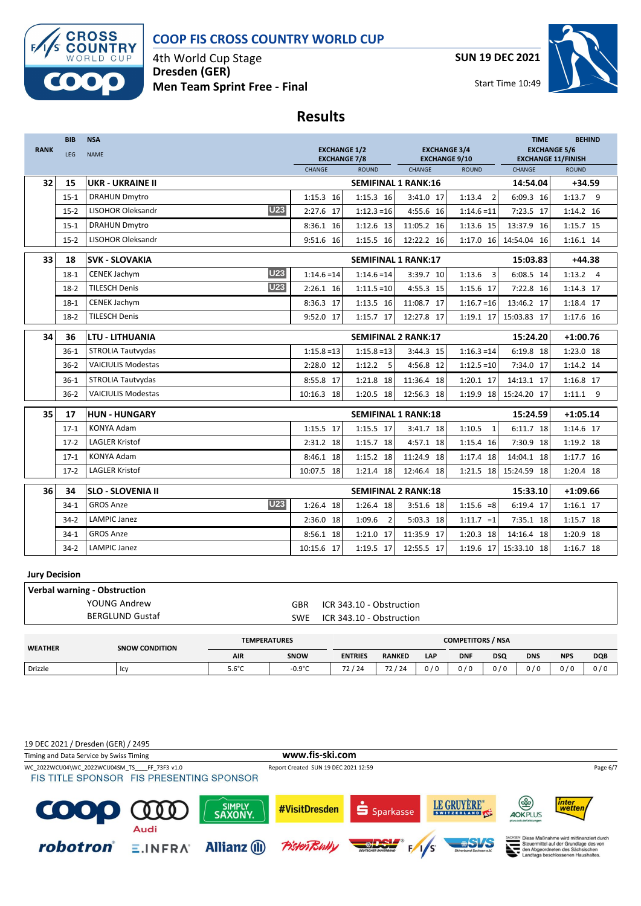

4th World Cup Stage **Dresden (GER) Men Team Sprint Free - Final** **SUN 19 DEC 2021**



**Results**

|             | <b>BIB</b> | <b>NSA</b>                           |                                            |                            |                                             |                          | <b>TIME</b>                                      | <b>BEHIND</b> |
|-------------|------------|--------------------------------------|--------------------------------------------|----------------------------|---------------------------------------------|--------------------------|--------------------------------------------------|---------------|
| <b>RANK</b> | <b>LEG</b> | <b>NAME</b>                          | <b>EXCHANGE 1/2</b><br><b>EXCHANGE 7/8</b> |                            | <b>EXCHANGE 3/4</b><br><b>EXCHANGE 9/10</b> |                          | <b>EXCHANGE 5/6</b><br><b>EXCHANGE 11/FINISH</b> |               |
|             |            |                                      | CHANGE                                     | <b>ROUND</b>               | CHANGE                                      | <b>ROUND</b>             | CHANGE                                           | <b>ROUND</b>  |
| 32          | 15         | <b>UKR - UKRAINE II</b>              |                                            | <b>SEMIFINAL 1 RANK:16</b> |                                             |                          | 14:54.04                                         | $+34.59$      |
|             | $15 - 1$   | <b>DRAHUN Dmytro</b>                 | 1:15.3 16                                  | 1:15.3 16                  | 3:41.0 17                                   | 1:13.4<br>$\overline{2}$ | 6:09.3 16                                        | $1:13.7$ 9    |
|             | $15-2$     | U <sub>23</sub><br>LISOHOR Oleksandr | 2:27.6 17                                  | $1:12.3=16$                | 4:55.6 16                                   | $1:14.6 = 11$            | 7:23.5 17                                        | 1:14.2 16     |
|             | $15-1$     | <b>DRAHUN Dmytro</b>                 | 8:36.1 16                                  | 1:12.6 13                  | 11:05.2 16                                  | 1:13.6 15                | 13:37.9 16                                       | 1:15.7 15     |
|             | $15-2$     | <b>LISOHOR Oleksandr</b>             | 9:51.6<br>16                               | 1:15.5 16                  | 12:22.2 16                                  | 1:17.0 16                | 14:54.04 16                                      | 1:16.1 14     |
| 33          | 18         | <b>SVK - SLOVAKIA</b>                |                                            | <b>SEMIFINAL 1 RANK:17</b> |                                             |                          | 15:03.83                                         | $+44.38$      |
|             | $18-1$     | <b>U23</b><br>CENEK Jachym           | $1:14.6 = 14$                              | $1:14.6 = 14$              | 3:39.7 10                                   | 1:13.6<br>3              | 6:08.5 14                                        | $1:13.2$ 4    |
|             | $18-2$     | <b>U23</b><br><b>TILESCH Denis</b>   | 2:26.1 16                                  | $1:11.5=10$                | 4:55.3 15                                   | 1:15.6 17                | 7:22.8 16                                        | 1:14.3 17     |
|             | $18-1$     | <b>CENEK Jachym</b>                  | 8:36.3 17                                  | 1:13.5 16                  | 11:08.7 17                                  | $1:16.7=16$              | 13:46.2 17                                       | 1:18.4 17     |
|             | $18-2$     | <b>TILESCH Denis</b>                 | 9:52.0 17                                  | 1:15.7 17                  | 12:27.8 17                                  | 1:19.1 17                | 15:03.83 17                                      | 1:17.6 16     |
| 34          | 36         | <b>LTU - LITHUANIA</b>               |                                            | <b>SEMIFINAL 2 RANK:17</b> |                                             |                          | 15:24.20                                         | $+1:00.76$    |
|             | $36-1$     | STROLIA Tautvydas                    | $1:15.8=13$                                | $1:15.8=13$                | 3:44.3 15                                   | $1:16.3=14$              | 6:19.8 18                                        | 1:23.0 18     |
|             | $36-2$     | <b>VAICIULIS Modestas</b>            | 2:28.0 12                                  | 1:12.2<br>5                | 4:56.8 12                                   | $1:12.5=10$              | 7:34.0 17                                        | 1:14.2 14     |
|             | $36-1$     | STROLIA Tautvydas                    | 8:55.8 17                                  | 1:21.8 18                  | 11:36.4 18                                  | 1:20.1 17                | 14:13.1 17                                       | 1:16.8 17     |
|             | $36-2$     | <b>VAICIULIS Modestas</b>            | 10:16.3 18                                 | 1:20.5 18                  | 12:56.3 18                                  | 1:19.9 18                | 15:24.20 17                                      | $1:11.1$ 9    |
| 35          | 17         | <b>HUN - HUNGARY</b>                 |                                            | <b>SEMIFINAL 1 RANK:18</b> |                                             |                          | 15:24.59                                         | $+1:05.14$    |
|             | $17-1$     | <b>KONYA Adam</b>                    | 1:15.5 17                                  | 1:15.5 17                  | 3:41.7 18                                   | 1:10.5<br>$\mathbf{1}$   | 6:11.7 18                                        | 1:14.6 17     |
|             | $17-2$     | <b>LAGLER Kristof</b>                | 2:31.2 18                                  | 1:15.7 18                  | 4:57.1 18                                   | 1:15.4 16                | 7:30.9 18                                        | 1:19.2 18     |
|             | $17-1$     | <b>KONYA Adam</b>                    | 8:46.1 18                                  | 1:15.2 18                  | 11:24.9 18                                  | 1:17.4 18                | 14:04.1 18                                       | 1:17.7 16     |
|             | $17-2$     | <b>LAGLER Kristof</b>                | 10:07.5 18                                 | 1:21.4 18                  | 12:46.4 18                                  | $1:21.5$ 18              | 15:24.59 18                                      | 1:20.4 18     |
| 36          | 34         | <b>SLO - SLOVENIA II</b>             |                                            | <b>SEMIFINAL 2 RANK:18</b> |                                             |                          | 15:33.10                                         | $+1:09.66$    |
|             | $34-1$     | <b>U23</b><br><b>GROS Anze</b>       | 1:26.4 18                                  | 1:26.4 18                  | 3:51.6 18                                   | $1:15.6 = 8$             | 6:19.4 17                                        | 1:16.1 17     |
|             | $34 - 2$   | LAMPIC Janez                         | 2:36.0<br>18                               | 1:09.6<br>$\overline{2}$   | 5:03.3 18                                   | $1:11.7 = 1$             | 7:35.1 18                                        | 1:15.7 18     |
|             | $34-1$     | <b>GROS Anze</b>                     | 8:56.1 18                                  | 1:21.0 17                  | 11:35.9 17                                  | 1:20.3 18                | 14:16.4 18                                       | 1:20.9 18     |
|             | $34-2$     | LAMPIC Janez                         | 10:15.6 17                                 | 1:19.5 17                  | 12:55.5 17                                  | 1:19.6 17                | 15:33.10 18                                      | 1:16.7 18     |

#### **Jury Decision**

| Verbal warning - Obstruction |                                 |                          |  |  |  |  |  |
|------------------------------|---------------------------------|--------------------------|--|--|--|--|--|
| YOUNG Andrew                 | GBR                             | ICR 343.10 - Obstruction |  |  |  |  |  |
| <b>BERGLUND Gustaf</b>       | ICR 343.10 - Obstruction<br>SWE |                          |  |  |  |  |  |
|                              |                                 |                          |  |  |  |  |  |

| <b>WEATHER</b> | <b>SNOW CONDITION</b> | <b>TEMPERATURES</b> |                  | <b>COMPETITORS / NSA</b>                   |                       |       |            |            |            |            |            |
|----------------|-----------------------|---------------------|------------------|--------------------------------------------|-----------------------|-------|------------|------------|------------|------------|------------|
|                |                       | <b>AIR</b>          | <b>SNOW</b>      | <b>ENTRIES</b>                             | <b>RANKED</b>         | LAP   | <b>DNF</b> | <b>DSQ</b> | <b>DNS</b> | <b>NPS</b> | <b>DQB</b> |
| Drizzle        | ּשׁו                  | $5.6^{\circ}$ C     | $-0.9^{\circ}$ C | $^{\prime}$ 24<br>$\overline{\phantom{a}}$ | 72<br>/24<br><u>.</u> | 0 / ۱ | 0/0        | 0/0        | 0/0<br>ν   | 0 / 0      | 0/6        |